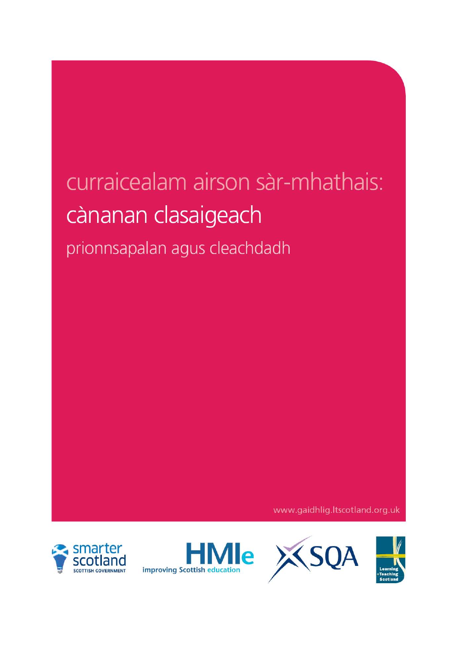# curraicealam airson sàr-mhathais: cànanan clasaigeach prionnsapalan agus cleachdadh

www.gaidhlig.ltscotland.org.uk







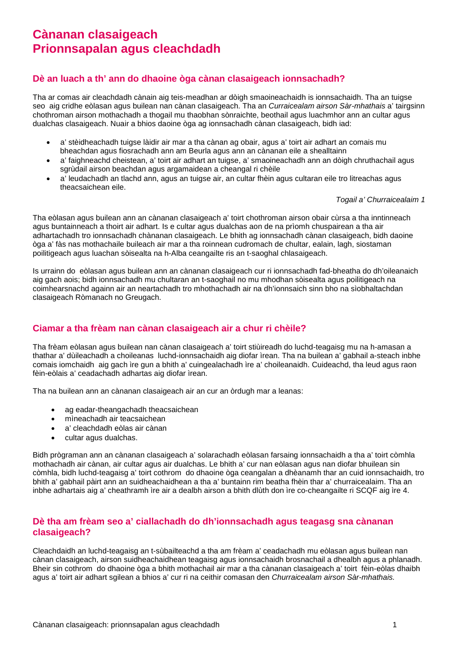## **Cànanan clasaigeach Prionnsapalan agus cleachdadh**

### **Dè an luach a th' ann do dhaoine òga cànan clasaigeach ionnsachadh?**

Tha ar comas air cleachdadh cànain aig teis-meadhan ar dòigh smaoineachaidh is ionnsachaidh. Tha an tuigse seo aig cridhe eòlasan agus builean nan cànan clasaigeach. Tha an *Curraicealam airson Sàr-mhathais* a' tairgsinn chothroman airson mothachadh a thogail mu thaobhan sònraichte, beothail agus luachmhor ann an cultar agus dualchas clasaigeach. Nuair a bhios daoine òga ag ionnsachadh cànan clasaigeach, bidh iad:

- a' stèidheachadh tuigse làidir air mar a tha cànan ag obair, agus a' toirt air adhart an comais mu bheachdan agus fiosrachadh ann am Beurla agus ann an cànanan eile a shealltainn
- a' faighneachd cheistean, a' toirt air adhart an tuigse, a' smaoineachadh ann an dòigh chruthachail agus sgrùdail airson beachdan agus argamaidean a cheangal ri chèile
- a' leudachadh an tlachd ann, agus an tuigse air, an cultar fhèin agus cultaran eile tro litreachas agus theacsaichean eile.

#### *Togail a' Churraicealaim 1*

Tha eòlasan agus builean ann an cànanan clasaigeach a' toirt chothroman airson obair cùrsa a tha inntinneach agus buntainneach a thoirt air adhart. Is e cultar agus dualchas aon de na prìomh chuspairean a tha air adhartachadh tro ionnsachadh chànanan clasaigeach. Le bhith ag ionnsachadh cànan clasaigeach, bidh daoine òga a' fàs nas mothachaile buileach air mar a tha roinnean cudromach de chultar, ealain, lagh, siostaman poilitigeach agus luachan sòisealta na h-Alba ceangailte ris an t-saoghal chlasaigeach.

Is urrainn do eòlasan agus builean ann an cànanan clasaigeach cur ri ionnsachadh fad-bheatha do dh'oileanaich aig gach aois; bidh ionnsachadh mu chultaran an t-saoghail no mu mhodhan sòisealta agus poilitigeach na coimhearsnachd againn air an neartachadh tro mhothachadh air na dh'ionnsaich sinn bho na sìobhaltachdan clasaigeach Ròmanach no Greugach.

#### **Ciamar a tha frèam nan cànan clasaigeach air a chur ri chèile?**

Tha frèam eòlasan agus builean nan cànan clasaigeach a' toirt stiùireadh do luchd-teagaisg mu na h-amasan a thathar a' dùileachadh a choileanas luchd-ionnsachaidh aig diofar ìrean. Tha na builean a' gabhail a-steach inbhe comais iomchaidh aig gach ìre gun a bhith a' cuingealachadh ìre a' choileanaidh. Cuideachd, tha leud agus raon fèin-eòlais a' ceadachadh adhartas aig diofar ìrean.

Tha na builean ann an cànanan clasaigeach air an cur an òrdugh mar a leanas:

- ag eadar-theangachadh theacsaichean
- mìneachadh air teacsaichean
- a' cleachdadh eòlas air cànan
- cultar agus dualchas.

Bidh prògraman ann an cànanan clasaigeach a' solarachadh eòlasan farsaing ionnsachaidh a tha a' toirt còmhla mothachadh air cànan, air cultar agus air dualchas. Le bhith a' cur nan eòlasan agus nan diofar bhuilean sin còmhla, bidh luchd-teagaisg a' toirt cothrom do dhaoine òga ceangalan a dhèanamh thar an cuid ionnsachaidh, tro bhith a' gabhail pàirt ann an suidheachaidhean a tha a' buntainn rim beatha fhèin thar a' churraicealaim. Tha an inbhe adhartais aig a' cheathramh ìre air a dealbh airson a bhith dlùth don ìre co-cheangailte ri SCQF aig ìre 4.

#### **Dè tha am frèam seo a' ciallachadh do dh'ionnsachadh agus teagasg sna cànanan clasaigeach?**

Cleachdaidh an luchd-teagaisg an t-sùbailteachd a tha am frèam a' ceadachadh mu eòlasan agus builean nan cànan clasaigeach, airson suidheachaidhean teagaisg agus ionnsachaidh brosnachail a dhealbh agus a phlanadh. Bheir sin cothrom do dhaoine òga a bhith mothachail air mar a tha cànanan clasaigeach a' toirt fèin-eòlas dhaibh agus a' toirt air adhart sgilean a bhios a' cur ri na ceithir comasan den *Churraicealam airson Sàr-mhathais.*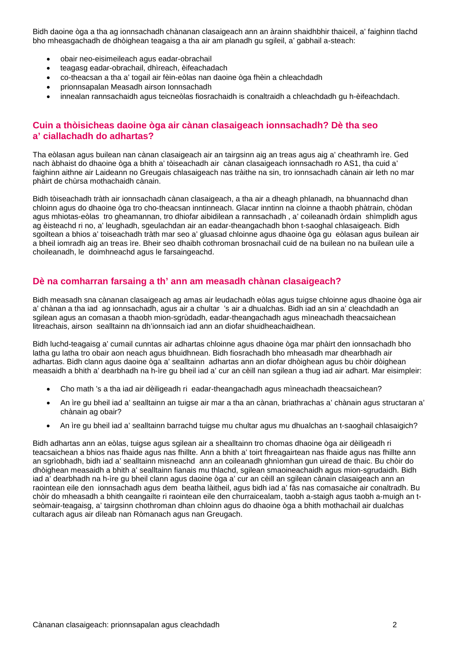Bidh daoine òga a tha ag ionnsachadh chànanan clasaigeach ann an àrainn shaidhbhir thaiceil, a' faighinn tlachd bho mheasgachadh de dhòighean teagaisg a tha air am planadh gu sgileil, a' gabhail a-steach:

- obair neo-eisimeileach agus eadar-obrachail
- teagasg eadar-obrachail, dhìreach, èifeachadach
- co-theacsan a tha a' togail air fèin-eòlas nan daoine òga fhèin a chleachdadh
- prionnsapalan Measadh airson Ionnsachadh
- innealan rannsachaidh agus teicneòlas fiosrachaidh is conaltraidh a chleachdadh gu h-èifeachdach.

#### **Cuin a thòisicheas daoine òga air cànan clasaigeach ionnsachadh? Dè tha seo a' ciallachadh do adhartas?**

Tha eòlasan agus builean nan cànan clasaigeach air an tairgsinn aig an treas agus aig a' cheathramh ìre. Ged nach àbhaist do dhaoine òga a bhith a' tòiseachadh air cànan clasaigeach ionnsachadh ro AS1, tha cuid a' faighinn aithne air Laideann no Greugais chlasaigeach nas tràithe na sin, tro ionnsachadh cànain air leth no mar phàirt de chùrsa mothachaidh cànain.

Bidh tòiseachadh tràth air ionnsachadh cànan clasaigeach, a tha air a dheagh phlanadh, na bhuannachd dhan chloinn agus do dhaoine òga tro cho-theacsan inntinneach. Glacar inntinn na cloinne a thaobh phàtrain, chòdan agus mhiotas-eòlas tro gheamannan, tro dhiofar aibidilean a rannsachadh , a' coileanadh òrdain shìmplidh agus ag èisteachd ri no, a' leughadh, sgeulachdan air an eadar-theangachadh bhon t-saoghal chlasaigeach. Bidh sgoiltean a bhios a' toiseachadh tràth mar seo a' gluasad chloinne agus dhaoine òga gu eòlasan agus builean air a bheil iomradh aig an treas ìre. Bheir seo dhaibh cothroman brosnachail cuid de na builean no na builean uile a choileanadh, le doimhneachd agus le farsaingeachd.

#### **Dè na comharran farsaing a th' ann am measadh chànan clasaigeach?**

Bidh measadh sna cànanan clasaigeach ag amas air leudachadh eòlas agus tuigse chloinne agus dhaoine òga air a' chànan a tha iad ag ionnsachadh, agus air a chultar 's air a dhualchas. Bidh iad an sin a' cleachdadh an sgilean agus an comasan a thaobh mion-sgrùdadh, eadar-theangachadh agus mìneachadh theacsaichean litreachais, airson sealltainn na dh'ionnsaich iad ann an diofar shuidheachaidhean.

Bidh luchd-teagaisg a' cumail cunntas air adhartas chloinne agus dhaoine òga mar phàirt den ionnsachadh bho latha gu latha tro obair aon neach agus bhuidhnean. Bidh fiosrachadh bho mheasadh mar dhearbhadh air adhartas. Bidh clann agus daoine òga a' sealltainn adhartas ann an diofar dhòighean agus bu chòir dòighean measaidh a bhith a' dearbhadh na h-ìre gu bheil iad a' cur an cèill nan sgilean a thug iad air adhart. Mar eisimpleir:

- Cho math 's a tha iad air dèiligeadh ri eadar-theangachadh agus mìneachadh theacsaichean?
- An ìre gu bheil iad a' sealltainn an tuigse air mar a tha an cànan, briathrachas a' chànain agus structaran a' chànain ag obair?
- An ìre gu bheil iad a' sealltainn barrachd tuigse mu chultar agus mu dhualchas an t-saoghail chlasaigich?

Bidh adhartas ann an eòlas, tuigse agus sgilean air a shealltainn tro chomas dhaoine òga air dèiligeadh ri teacsaichean a bhios nas fhaide agus nas fhillte. Ann a bhith a' toirt fhreagairtean nas fhaide agus nas fhillte ann an sgrìobhadh, bidh iad a' sealltainn misneachd ann an coileanadh ghnìomhan gun uiread de thaic. Bu chòir do dhòighean measaidh a bhith a' sealltainn fianais mu thlachd, sgilean smaoineachaidh agus mion-sgrudaidh. Bidh iad a' dearbhadh na h-ìre gu bheil clann agus daoine òga a' cur an cèill an sgilean cànain clasaigeach ann an raointean eile den ionnsachadh agus dem beatha làitheil, agus bidh iad a' fàs nas comasaiche air conaltradh. Bu chòir do mheasadh a bhith ceangailte ri raointean eile den churraicealam, taobh a-staigh agus taobh a-muigh an tseòmair-teagaisg, a' tairgsinn chothroman dhan chloinn agus do dhaoine òga a bhith mothachail air dualchas cultarach agus air dìleab nan Ròmanach agus nan Greugach.